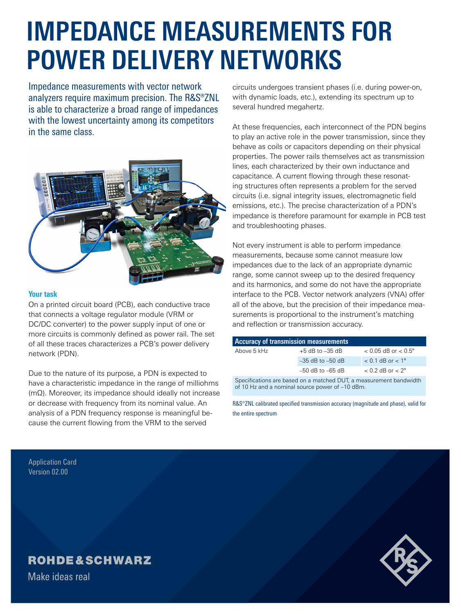# **IMPEDANCE MEASUREMENTS FOR POWER DELIVERY NETWORKS**

Impedance measurements with vector network analyzers require maximum precision. The R&S®ZNL is able to characterize a broad range of impedances with the lowest uncertainty among its competitors in the same class.



### **Your task**

On a printed circuit board (PCB), each conductive trace that connects a voltage regulator module (VRM or DC/DC converter) to the power supply input of one or more circuits is commonly defined as power rail. The set of all these traces characterizes a PCB's power delivery network (PDN).

Due to the nature of its purpose, a PDN is expected to have a characteristic impedance in the range of milliohms (mΩ). Moreover, its impedance should ideally not increase or decrease with frequency from its nominal value. An analysis of a PDN frequency response is meaningful because the current flowing from the VRM to the served

circuits undergoes transient phases (i.e. during power-on, with dynamic loads, etc.), extending its spectrum up to several hundred megahertz.

At these frequencies, each interconnect of the PDN begins to play an active role in the power transmission, since they behave as coils or capacitors depending on their physical properties. The power rails themselves act as transmission lines, each characterized by their own inductance and capacitance. A current flowing through these resonating structures often represents a problem for the served circuits (i.e. signal integrity issues, electromagnetic field emissions, etc.). The precise characterization of a PDN's impedance is therefore paramount for example in PCB test and troubleshooting phases.

Not every instrument is able to perform impedance measurements, because some cannot measure low impedances due to the lack of an appropriate dynamic range, some cannot sweep up to the desired frequency and its harmonics, and some do not have the appropriate interface to the PCB. Vector network analyzers (VNA) offer all of the above, but the precision of their impedance measurements is proportional to the instrument's matching and reflection or transmission accuracy.

| Accuracy of transmission measurements                                                                                 |                      |                                |
|-----------------------------------------------------------------------------------------------------------------------|----------------------|--------------------------------|
| Above 5 kHz                                                                                                           | $+5$ dB to $-35$ dB  | $< 0.05$ dB or $< 0.5^{\circ}$ |
|                                                                                                                       | $-35$ dB to $-50$ dB | $< 0.1$ dB or $< 1^{\circ}$    |
|                                                                                                                       | $-50$ dB to $-65$ dB | $< 0.2$ dB or $< 2^{\circ}$    |
| Specifications are based on a matched DUT, a measurement bandwidth<br>of 10 Hz and a nominal source power of -10 dBm. |                      |                                |

R&S®ZNL calibrated specified transmission accuracy (magnitude and phase), valid for the entire spectrum

Application Card Version 02.00

## **ROHDE&SCHWARZ**

Make ideas real